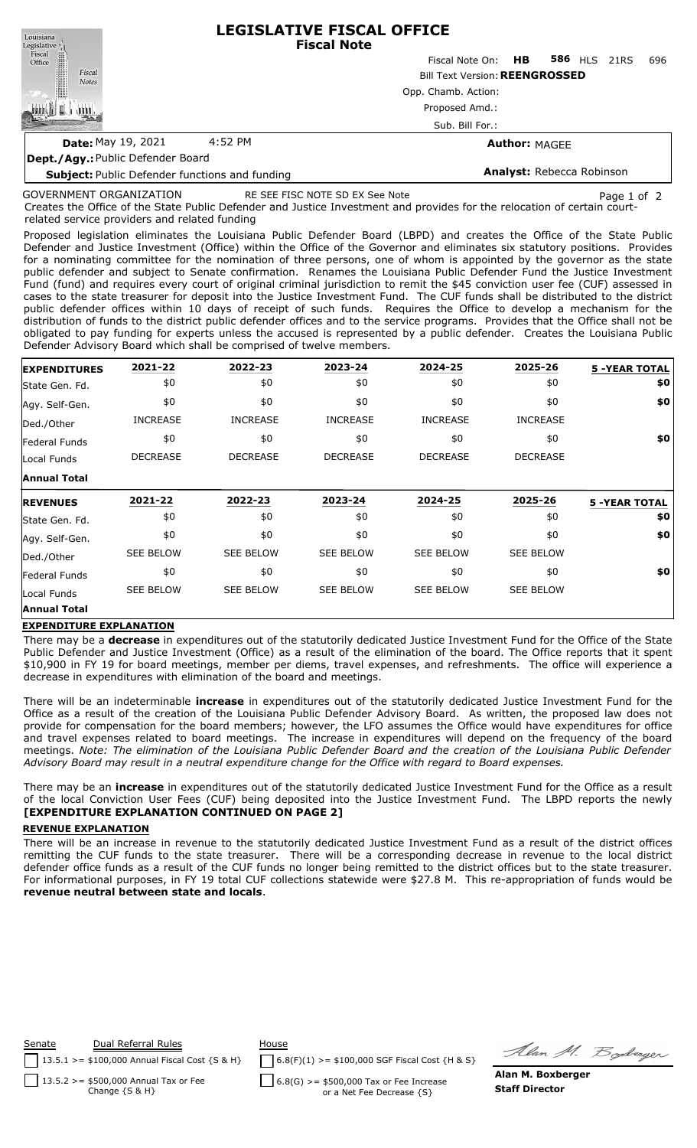| Louisiana                                             | <b>LEGISLATIVE FISCAL OFFICE</b><br><b>Fiscal Note</b> |                                       |                           |                     |  |     |  |  |  |
|-------------------------------------------------------|--------------------------------------------------------|---------------------------------------|---------------------------|---------------------|--|-----|--|--|--|
| Legislative<br>Fiscal<br>Office                       |                                                        | Fiscal Note On:                       | HB 1989                   | <b>586 HLS 21RS</b> |  | 696 |  |  |  |
| Fiscal<br><b>Notes</b>                                |                                                        | <b>Bill Text Version: REENGROSSED</b> |                           |                     |  |     |  |  |  |
|                                                       |                                                        | Opp. Chamb. Action:                   |                           |                     |  |     |  |  |  |
|                                                       |                                                        | Proposed Amd.:                        |                           |                     |  |     |  |  |  |
|                                                       |                                                        | Sub. Bill For.:                       |                           |                     |  |     |  |  |  |
| <b>Date: May 19, 2021</b>                             | 4:52 PM<br><b>Author: MAGEE</b>                        |                                       |                           |                     |  |     |  |  |  |
| <b>Dept./Agy.: Public Defender Board</b>              |                                                        |                                       |                           |                     |  |     |  |  |  |
| <b>Subject:</b> Public Defender functions and funding |                                                        |                                       | Analyst: Rebecca Robinson |                     |  |     |  |  |  |

## GOVERNMENT ORGANIZATION

Creates the Office of the State Public Defender and Justice Investment and provides for the relocation of certain courtrelated service providers and related funding RE SEE FISC NOTE SD EX See Note Page 1 of 2

Proposed legislation eliminates the Louisiana Public Defender Board (LBPD) and creates the Office of the State Public Defender and Justice Investment (Office) within the Office of the Governor and eliminates six statutory positions. Provides for a nominating committee for the nomination of three persons, one of whom is appointed by the governor as the state public defender and subject to Senate confirmation. Renames the Louisiana Public Defender Fund the Justice Investment Fund (fund) and requires every court of original criminal jurisdiction to remit the \$45 conviction user fee (CUF) assessed in cases to the state treasurer for deposit into the Justice Investment Fund. The CUF funds shall be distributed to the district public defender offices within 10 days of receipt of such funds. Requires the Office to develop a mechanism for the distribution of funds to the district public defender offices and to the service programs. Provides that the Office shall not be obligated to pay funding for experts unless the accused is represented by a public defender. Creates the Louisiana Public Defender Advisory Board which shall be comprised of twelve members.

| <b>EXPENDITURES</b> | 2021-22          | 2022-23          | 2023-24          | 2024-25          | 2025-26          | <b>5 -YEAR TOTAL</b> |
|---------------------|------------------|------------------|------------------|------------------|------------------|----------------------|
| State Gen. Fd.      | \$0              | \$0              | \$0              | \$0              | \$0              | \$0                  |
| Agy. Self-Gen.      | \$0              | \$0              | \$0              | \$0              | \$0              | \$0                  |
| Ded./Other          | <b>INCREASE</b>  | <b>INCREASE</b>  | <b>INCREASE</b>  | <b>INCREASE</b>  | <b>INCREASE</b>  |                      |
| Federal Funds       | \$0              | \$0              | \$0              | \$0              | \$0              | \$0                  |
| Local Funds         | <b>DECREASE</b>  | <b>DECREASE</b>  | <b>DECREASE</b>  | <b>DECREASE</b>  | <b>DECREASE</b>  |                      |
| <b>Annual Total</b> |                  |                  |                  |                  |                  |                      |
|                     |                  |                  |                  |                  |                  |                      |
| <b>REVENUES</b>     | 2021-22          | 2022-23          | 2023-24          | 2024-25          | 2025-26          | <b>5 -YEAR TOTAL</b> |
| State Gen. Fd.      | \$0              | \$0              | \$0              | \$0              | \$0              | \$0                  |
| Agy. Self-Gen.      | \$0              | \$0              | \$0              | \$0              | \$0              | \$0                  |
| Ded./Other          | <b>SEE BELOW</b> | <b>SEE BELOW</b> | <b>SEE BELOW</b> | <b>SEE BELOW</b> | <b>SEE BELOW</b> |                      |
| Federal Funds       | \$0              | \$0              | \$0              | \$0              | \$0              | \$0                  |
| Local Funds         | <b>SEE BELOW</b> | <b>SEE BELOW</b> | SEE BELOW        | <b>SEE BELOW</b> | <b>SEE BELOW</b> |                      |

#### **EXPENDITURE EXPLANATION**

There may be a **decrease** in expenditures out of the statutorily dedicated Justice Investment Fund for the Office of the State Public Defender and Justice Investment (Office) as a result of the elimination of the board. The Office reports that it spent \$10,900 in FY 19 for board meetings, member per diems, travel expenses, and refreshments. The office will experience a decrease in expenditures with elimination of the board and meetings.

There will be an indeterminable **increase** in expenditures out of the statutorily dedicated Justice Investment Fund for the Office as a result of the creation of the Louisiana Public Defender Advisory Board. As written, the proposed law does not provide for compensation for the board members; however, the LFO assumes the Office would have expenditures for office and travel expenses related to board meetings. The increase in expenditures will depend on the frequency of the board meetings. Note: The elimination of the Louisiana Public Defender Board and the creation of the Louisiana Public Defender *Advisory Board may result in a neutral expenditure change for the Office with regard to Board expenses.*

There may be an **increase** in expenditures out of the statutorily dedicated Justice Investment Fund for the Office as a result of the local Conviction User Fees (CUF) being deposited into the Justice Investment Fund. The LBPD reports the newly **[EXPENDITURE EXPLANATION CONTINUED ON PAGE 2]**

#### **REVENUE EXPLANATION**

There will be an increase in revenue to the statutorily dedicated Justice Investment Fund as a result of the district offices remitting the CUF funds to the state treasurer. There will be a corresponding decrease in revenue to the local district defender office funds as a result of the CUF funds no longer being remitted to the district offices but to the state treasurer. For informational purposes, in FY 19 total CUF collections statewide were \$27.8 M. This re-appropriation of funds would be **revenue neutral between state and locals**.